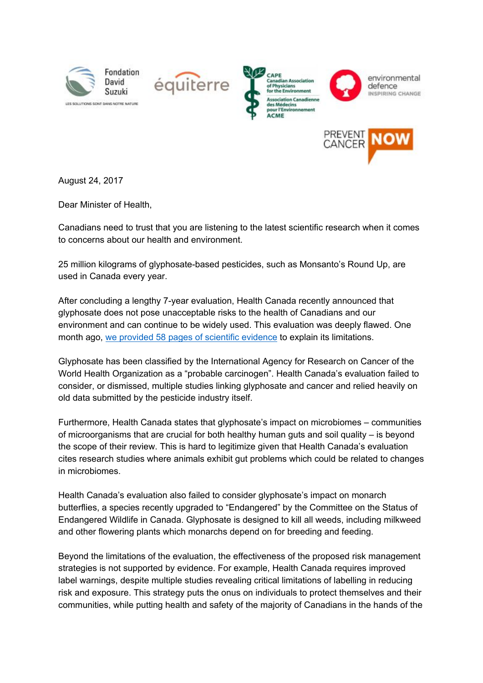









August 24, 2017

Dear Minister of Health,

Canadians need to trust that you are listening to the latest scientific research when it comes to concerns about our health and environment.

25 million kilograms of glyphosate-based pesticides, such as Monsanto's Round Up, are used in Canada every year.

After concluding a lengthy 7-year evaluation, Health Canada recently announced that glyphosate does not pose unacceptable risks to the health of Canadians and our environment and can continue to be widely used. This evaluation was deeply flawed. One month ago, we provided 58 pages of scientific [evidence](http://equiterre.org/sites/fichiers/notice_of_objection_-_glyphosate_-_final_submitted_july_24_2017.pdf) to explain its limitations.

Glyphosate has been classified by the International Agency for Research on Cancer of the World Health Organization as a "probable carcinogen". Health Canada's evaluation failed to consider, or dismissed, multiple studies linking glyphosate and cancer and relied heavily on old data submitted by the pesticide industry itself.

Furthermore, Health Canada states that glyphosate's impact on microbiomes – communities of microorganisms that are crucial for both healthy human guts and soil quality – is beyond the scope of their review. This is hard to legitimize given that Health Canada's evaluation cites research studies where animals exhibit gut problems which could be related to changes in microbiomes.

Health Canada's evaluation also failed to consider glyphosate's impact on monarch butterflies, a species recently upgraded to "Endangered" by the Committee on the Status of Endangered Wildlife in Canada. Glyphosate is designed to kill all weeds, including milkweed and other flowering plants which monarchs depend on for breeding and feeding.

Beyond the limitations of the evaluation, the effectiveness of the proposed risk management strategies is not supported by evidence. For example, Health Canada requires improved label warnings, despite multiple studies revealing critical limitations of labelling in reducing risk and exposure. This strategy puts the onus on individuals to protect themselves and their communities, while putting health and safety of the majority of Canadians in the hands of the